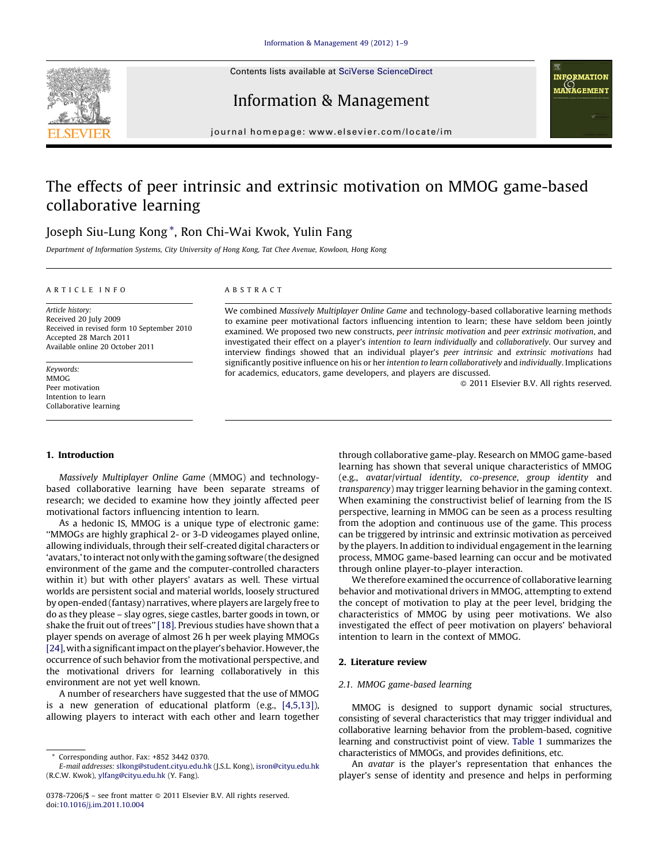Contents lists available at SciVerse [ScienceDirect](http://www.sciencedirect.com/science/journal/03787206)



Information & Management



journal homepage: www.elsevier.com/locate/im

# The effects of peer intrinsic and extrinsic motivation on MMOG game-based collaborative learning

# Joseph Siu-Lung Kong \*, Ron Chi-Wai Kwok, Yulin Fang

Department of Information Systems, City University of Hong Kong, Tat Chee Avenue, Kowloon, Hong Kong

### A R T I C L E I N F O

Article history: Received 20 July 2009 Received in revised form 10 September 2010 Accepted 28 March 2011 Available online 20 October 2011

Keywords: MMOG Peer motivation Intention to learn Collaborative learning

# 1. Introduction

Massively Multiplayer Online Game (MMOG) and technologybased collaborative learning have been separate streams of research; we decided to examine how they jointly affected peer motivational factors influencing intention to learn.

As a hedonic IS, MMOG is a unique type of electronic game: ''MMOGs are highly graphical 2- or 3-D videogames played online, allowing individuals, through their self-created digital characters or 'avatars,' to interact not only with the gaming software (the designed environment of the game and the computer-controlled characters within it) but with other players' avatars as well. These virtual worlds are persistent social and material worlds, loosely structured by open-ended (fantasy) narratives, where players are largely free to do as they please – slay ogres, siege castles, barter goods in town, or shake the fruit out of trees" [\[18\]](#page--1-0). Previous studies have shown that a player spends on average of almost 26 h per week playing MMOGs [\[24\],](#page--1-0) witha significantimpact ontheplayer'sbehavior.However,the occurrence of such behavior from the motivational perspective, and the motivational drivers for learning collaboratively in this environment are not yet well known.

A number of researchers have suggested that the use of MMOG is a new generation of educational platform (e.g., [\[4,5,13\]\)](#page--1-0), allowing players to interact with each other and learn together

# A B S T R A C T

We combined Massively Multiplayer Online Game and technology-based collaborative learning methods to examine peer motivational factors influencing intention to learn; these have seldom been jointly examined. We proposed two new constructs, peer intrinsic motivation and peer extrinsic motivation, and investigated their effect on a player's intention to learn individually and collaboratively. Our survey and interview findings showed that an individual player's peer intrinsic and extrinsic motivations had significantly positive influence on his or her intention to learn collaboratively and individually. Implications for academics, educators, game developers, and players are discussed.

- 2011 Elsevier B.V. All rights reserved.

through collaborative game-play. Research on MMOG game-based learning has shown that several unique characteristics of MMOG (e.g., avatar/virtual identity, co-presence, group identity and transparency) may trigger learning behavior in the gaming context. When examining the constructivist belief of learning from the IS perspective, learning in MMOG can be seen as a process resulting from the adoption and continuous use of the game. This process can be triggered by intrinsic and extrinsic motivation as perceived by the players. In addition to individual engagement in the learning process, MMOG game-based learning can occur and be motivated through online player-to-player interaction.

We therefore examined the occurrence of collaborative learning behavior and motivational drivers in MMOG, attempting to extend the concept of motivation to play at the peer level, bridging the characteristics of MMOG by using peer motivations. We also investigated the effect of peer motivation on players' behavioral intention to learn in the context of MMOG.

# 2. Literature review

# 2.1. MMOG game-based learning

MMOG is designed to support dynamic social structures, consisting of several characteristics that may trigger individual and collaborative learning behavior from the problem-based, cognitive learning and constructivist point of view. [Table](#page-1-0) 1 summarizes the characteristics of MMOGs, and provides definitions, etc.

An avatar is the player's representation that enhances the player's sense of identity and presence and helps in performing

Corresponding author. Fax: +852 3442 0370.

E-mail addresses: [slkong@student.cityu.edu.hk](mailto:slkong@student.cityu.edu.hk) (J.S.L. Kong), [isron@cityu.edu.hk](mailto:isron@cityu.edu.hk) (R.C.W. Kwok), [ylfang@cityu.edu.hk](mailto:ylfang@cityu.edu.hk) (Y. Fang).

<sup>0378-7206/\$ –</sup> see front matter © 2011 Elsevier B.V. All rights reserved. doi:[10.1016/j.im.2011.10.004](http://dx.doi.org/10.1016/j.im.2011.10.004)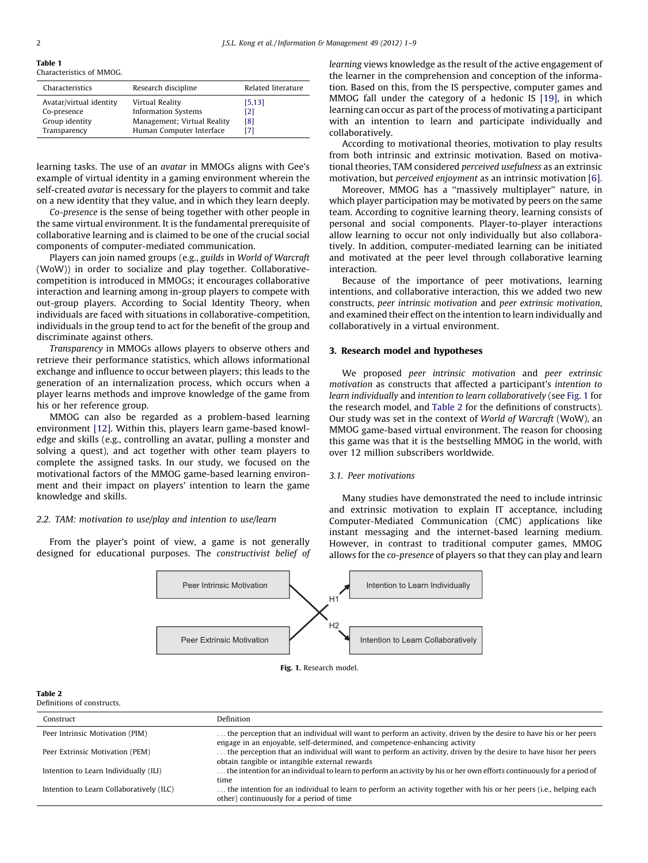#### <span id="page-1-0"></span>Table 1

Characteristics of MMOG.

| Characteristics         | Research discipline         | Related literature |
|-------------------------|-----------------------------|--------------------|
| Avatar/virtual identity | Virtual Reality             | [5, 13]            |
| Co-presence             | <b>Information Systems</b>  | [2]                |
| Group identity          | Management; Virtual Reality | [8]                |
| Transparency            | Human Computer Interface    | [7]                |

learning tasks. The use of an avatar in MMOGs aligns with Gee's example of virtual identity in a gaming environment wherein the self-created *avatar* is necessary for the players to commit and take on a new identity that they value, and in which they learn deeply.

Co-presence is the sense of being together with other people in the same virtual environment. It is the fundamental prerequisite of collaborative learning and is claimed to be one of the crucial social components of computer-mediated communication.

Players can join named groups (e.g., guilds in World of Warcraft (WoW)) in order to socialize and play together. Collaborativecompetition is introduced in MMOGs; it encourages collaborative interaction and learning among in-group players to compete with out-group players. According to Social Identity Theory, when individuals are faced with situations in collaborative-competition, individuals in the group tend to act for the benefit of the group and discriminate against others.

Transparency in MMOGs allows players to observe others and retrieve their performance statistics, which allows informational exchange and influence to occur between players; this leads to the generation of an internalization process, which occurs when a player learns methods and improve knowledge of the game from his or her reference group.

MMOG can also be regarded as a problem-based learning environment [\[12\].](#page--1-0) Within this, players learn game-based knowledge and skills (e.g., controlling an avatar, pulling a monster and solving a quest), and act together with other team players to complete the assigned tasks. In our study, we focused on the motivational factors of the MMOG game-based learning environment and their impact on players' intention to learn the game knowledge and skills.

### 2.2. TAM: motivation to use/play and intention to use/learn

From the player's point of view, a game is not generally designed for educational purposes. The constructivist belief of learning views knowledge as the result of the active engagement of the learner in the comprehension and conception of the information. Based on this, from the IS perspective, computer games and MMOG fall under the category of a hedonic IS [\[19\]](#page--1-0), in which learning can occur as part of the process of motivating a participant with an intention to learn and participate individually and collaboratively.

According to motivational theories, motivation to play results from both intrinsic and extrinsic motivation. Based on motivational theories, TAM considered perceived usefulness as an extrinsic motivation, but perceived enjoyment as an intrinsic motivation [\[6\].](#page--1-0)

Moreover, MMOG has a ''massively multiplayer'' nature, in which player participation may be motivated by peers on the same team. According to cognitive learning theory, learning consists of personal and social components. Player-to-player interactions allow learning to occur not only individually but also collaboratively. In addition, computer-mediated learning can be initiated and motivated at the peer level through collaborative learning interaction.

Because of the importance of peer motivations, learning intentions, and collaborative interaction, this we added two new constructs, peer intrinsic motivation and peer extrinsic motivation, and examined their effect on the intention to learn individually and collaboratively in a virtual environment.

# 3. Research model and hypotheses

We proposed peer intrinsic motivation and peer extrinsic motivation as constructs that affected a participant's intention to learn individually and intention to learn collaboratively (see Fig. 1 for the research model, and Table 2 for the definitions of constructs). Our study was set in the context of World of Warcraft (WoW), an MMOG game-based virtual environment. The reason for choosing this game was that it is the bestselling MMOG in the world, with over 12 million subscribers worldwide.

# 3.1. Peer motivations

Many studies have demonstrated the need to include intrinsic and extrinsic motivation to explain IT acceptance, including Computer-Mediated Communication (CMC) applications like instant messaging and the internet-based learning medium. However, in contrast to traditional computer games, MMOG allows for the co-presence of players so that they can play and learn



Fig. 1. Research model.

#### Table 2

Definitions of constructs.

| Construct                                | <b>Definition</b>                                                                                                                                                                               |  |
|------------------------------------------|-------------------------------------------------------------------------------------------------------------------------------------------------------------------------------------------------|--|
| Peer Intrinsic Motivation (PIM)          | the perception that an individual will want to perform an activity, driven by the desire to have his or her peers<br>engage in an enjoyable, self-determined, and competence-enhancing activity |  |
| Peer Extrinsic Motivation (PEM)          | the perception that an individual will want to perform an activity, driven by the desire to have hisor her peers<br>obtain tangible or intangible external rewards                              |  |
| Intention to Learn Individually (ILI)    | the intention for an individual to learn to perform an activity by his or her own efforts continuously for a period of<br>time                                                                  |  |
| Intention to Learn Collaboratively (ILC) | the intention for an individual to learn to perform an activity together with his or her peers (i.e., helping each<br>other) continuously for a period of time                                  |  |